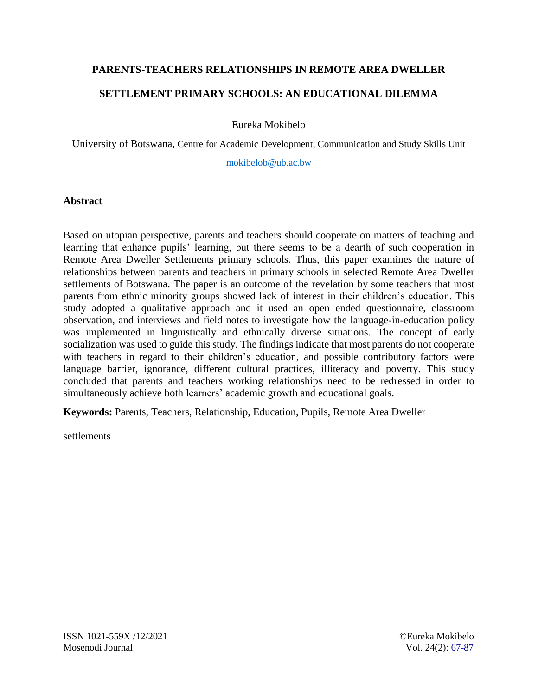# **PARENTS-TEACHERS RELATIONSHIPS IN REMOTE AREA DWELLER SETTLEMENT PRIMARY SCHOOLS: AN EDUCATIONAL DILEMMA**

Eureka Mokibelo

University of Botswana, Centre for Academic Development, Communication and Study Skills Unit

[mokibelob@ub.ac.bw](mailto:mokibelob@ub.ac.bw)

## **Abstract**

Based on utopian perspective, parents and teachers should cooperate on matters of teaching and learning that enhance pupils' learning, but there seems to be a dearth of such cooperation in Remote Area Dweller Settlements primary schools. Thus, this paper examines the nature of relationships between parents and teachers in primary schools in selected Remote Area Dweller settlements of Botswana. The paper is an outcome of the revelation by some teachers that most parents from ethnic minority groups showed lack of interest in their children's education. This study adopted a qualitative approach and it used an open ended questionnaire, classroom observation, and interviews and field notes to investigate how the language-in-education policy was implemented in linguistically and ethnically diverse situations. The concept of early socialization was used to guide this study. The findings indicate that most parents do not cooperate with teachers in regard to their children's education, and possible contributory factors were language barrier, ignorance, different cultural practices, illiteracy and poverty. This study concluded that parents and teachers working relationships need to be redressed in order to simultaneously achieve both learners' academic growth and educational goals.

**Keywords:** Parents, Teachers, Relationship, Education, Pupils, Remote Area Dweller

settlements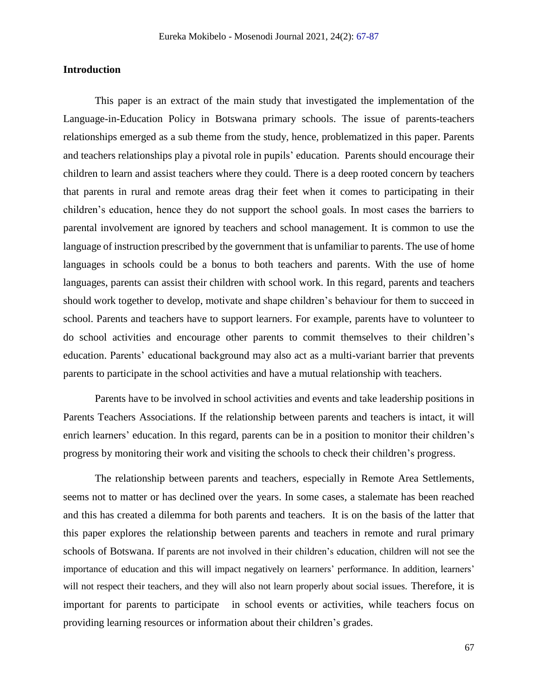## **Introduction**

This paper is an extract of the main study that investigated the implementation of the Language-in-Education Policy in Botswana primary schools. The issue of parents-teachers relationships emerged as a sub theme from the study, hence, problematized in this paper. Parents and teachers relationships play a pivotal role in pupils' education. Parents should encourage their children to learn and assist teachers where they could. There is a deep rooted concern by teachers that parents in rural and remote areas drag their feet when it comes to participating in their children's education, hence they do not support the school goals. In most cases the barriers to parental involvement are ignored by teachers and school management. It is common to use the language of instruction prescribed by the government that is unfamiliar to parents. The use of home languages in schools could be a bonus to both teachers and parents. With the use of home languages, parents can assist their children with school work. In this regard, parents and teachers should work together to develop, motivate and shape children's behaviour for them to succeed in school. Parents and teachers have to support learners. For example, parents have to volunteer to do school activities and encourage other parents to commit themselves to their children's education. Parents' educational background may also act as a multi-variant barrier that prevents parents to participate in the school activities and have a mutual relationship with teachers.

Parents have to be involved in school activities and events and take leadership positions in Parents Teachers Associations. If the relationship between parents and teachers is intact, it will enrich learners' education. In this regard, parents can be in a position to monitor their children's progress by monitoring their work and visiting the schools to check their children's progress.

The relationship between parents and teachers, especially in Remote Area Settlements, seems not to matter or has declined over the years. In some cases, a stalemate has been reached and this has created a dilemma for both parents and teachers. It is on the basis of the latter that this paper explores the relationship between parents and teachers in remote and rural primary schools of Botswana. If parents are not involved in their children's education, children will not see the importance of education and this will impact negatively on learners' performance. In addition, learners' will not respect their teachers, and they will also not learn properly about social issues. Therefore, it is important for parents to participate in school events or activities, while teachers focus on providing learning resources or information about their children's grades.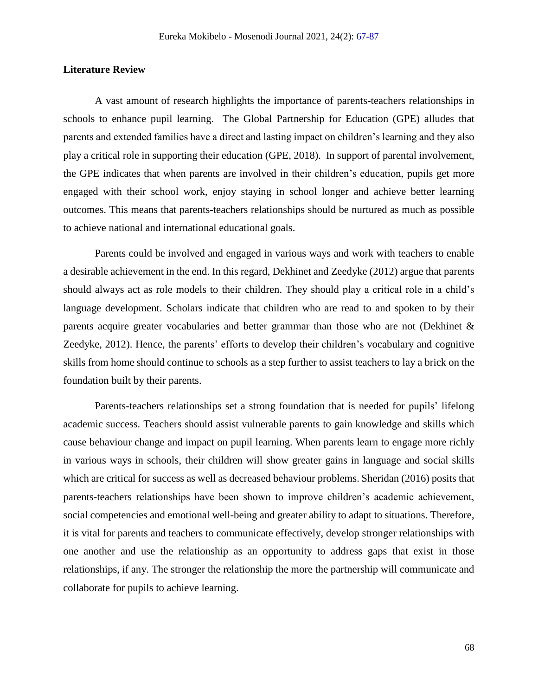#### **Literature Review**

A vast amount of research highlights the importance of parents-teachers relationships in schools to enhance pupil learning. The Global Partnership for Education (GPE) alludes that parents and extended families have a direct and lasting impact on children's learning and they also play a critical role in supporting their education (GPE, 2018). In support of parental involvement, the GPE indicates that when parents are involved in their children's education, pupils get more engaged with their school work, enjoy staying in school longer and achieve better learning outcomes. This means that parents-teachers relationships should be nurtured as much as possible to achieve national and international educational goals.

Parents could be involved and engaged in various ways and work with teachers to enable a desirable achievement in the end. In this regard, Dekhinet and Zeedyke (2012) argue that parents should always act as role models to their children. They should play a critical role in a child's language development. Scholars indicate that children who are read to and spoken to by their parents acquire greater vocabularies and better grammar than those who are not (Dekhinet & Zeedyke, 2012). Hence, the parents' efforts to develop their children's vocabulary and cognitive skills from home should continue to schools as a step further to assist teachers to lay a brick on the foundation built by their parents.

Parents-teachers relationships set a strong foundation that is needed for pupils' lifelong academic success. Teachers should assist vulnerable parents to gain knowledge and skills which cause behaviour change and impact on pupil learning. When parents learn to engage more richly in various ways in schools, their children will show greater gains in language and social skills which are critical for success as well as decreased behaviour problems. Sheridan (2016) posits that parents-teachers relationships have been shown to improve children's academic achievement, social competencies and emotional well-being and greater ability to adapt to situations. Therefore, it is vital for parents and teachers to communicate effectively, develop stronger relationships with one another and use the relationship as an opportunity to address gaps that exist in those relationships, if any. The stronger the relationship the more the partnership will communicate and collaborate for pupils to achieve learning.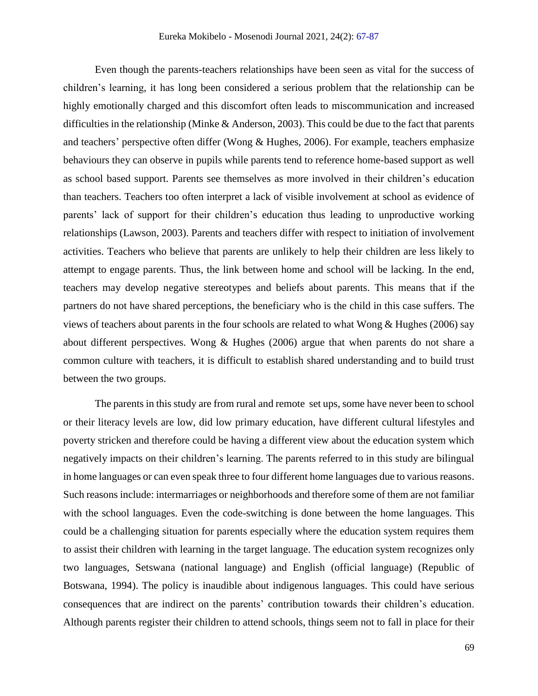Even though the parents-teachers relationships have been seen as vital for the success of children's learning, it has long been considered a serious problem that the relationship can be highly emotionally charged and this discomfort often leads to miscommunication and increased difficulties in the relationship (Minke & Anderson, 2003). This could be due to the fact that parents and teachers' perspective often differ (Wong & Hughes, 2006). For example, teachers emphasize behaviours they can observe in pupils while parents tend to reference home-based support as well as school based support. Parents see themselves as more involved in their children's education than teachers. Teachers too often interpret a lack of visible involvement at school as evidence of parents' lack of support for their children's education thus leading to unproductive working relationships (Lawson, 2003). Parents and teachers differ with respect to initiation of involvement activities. Teachers who believe that parents are unlikely to help their children are less likely to attempt to engage parents. Thus, the link between home and school will be lacking. In the end, teachers may develop negative stereotypes and beliefs about parents. This means that if the partners do not have shared perceptions, the beneficiary who is the child in this case suffers. The views of teachers about parents in the four schools are related to what Wong & Hughes (2006) say about different perspectives. Wong & Hughes (2006) argue that when parents do not share a common culture with teachers, it is difficult to establish shared understanding and to build trust between the two groups.

The parents in this study are from rural and remote set ups, some have never been to school or their literacy levels are low, did low primary education, have different cultural lifestyles and poverty stricken and therefore could be having a different view about the education system which negatively impacts on their children's learning. The parents referred to in this study are bilingual in home languages or can even speak three to four different home languages due to various reasons. Such reasons include: intermarriages or neighborhoods and therefore some of them are not familiar with the school languages. Even the code-switching is done between the home languages. This could be a challenging situation for parents especially where the education system requires them to assist their children with learning in the target language. The education system recognizes only two languages, Setswana (national language) and English (official language) (Republic of Botswana, 1994). The policy is inaudible about indigenous languages. This could have serious consequences that are indirect on the parents' contribution towards their children's education. Although parents register their children to attend schools, things seem not to fall in place for their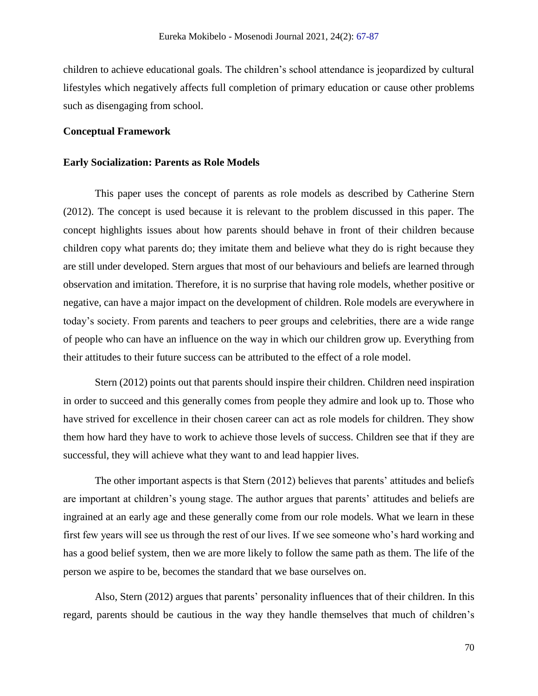children to achieve educational goals. The children's school attendance is jeopardized by cultural lifestyles which negatively affects full completion of primary education or cause other problems such as disengaging from school.

## **Conceptual Framework**

#### **Early Socialization: Parents as Role Models**

This paper uses the concept of parents as role models as described by Catherine Stern (2012). The concept is used because it is relevant to the problem discussed in this paper. The concept highlights issues about how parents should behave in front of their children because children copy what parents do; they imitate them and believe what they do is right because they are still under developed. Stern argues that most of our behaviours and beliefs are learned through observation and imitation. Therefore, it is no surprise that having role models, whether positive or negative, can have a major impact on the development of children. Role models are everywhere in today's society. From parents and teachers to peer groups and celebrities, there are a wide range of people who can have an influence on the way in which our children grow up. Everything from their attitudes to their future success can be attributed to the effect of a role model.

Stern (2012) points out that parents should inspire their children. Children need inspiration in order to succeed and this generally comes from people they admire and look up to. Those who have strived for excellence in their chosen career can act as role models for children. They show them how hard they have to work to achieve those levels of success. Children see that if they are successful, they will achieve what they want to and lead happier lives.

The other important aspects is that Stern (2012) believes that parents' attitudes and beliefs are important at children's young stage. The author argues that parents' attitudes and beliefs are ingrained at an early age and these generally come from our role models. What we learn in these first few years will see us through the rest of our lives. If we see someone who's hard working and has a good belief system, then we are more likely to follow the same path as them. The life of the person we aspire to be, becomes the standard that we base ourselves on.

Also, Stern (2012) argues that parents' personality influences that of their children. In this regard, parents should be cautious in the way they handle themselves that much of children's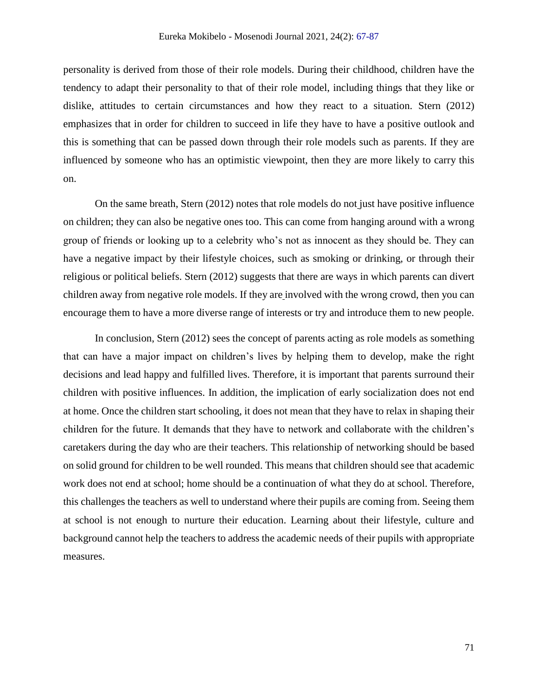personality is derived from those of their role models. During their childhood, children have the tendency to adapt their personality to that of their role model, including things that they like or dislike, attitudes to certain circumstances and how they react to a situation. Stern (2012) emphasizes that in order for children to succeed in life they have to have a positive outlook and this is something that can be passed down through their role models such as parents. If they are influenced by someone who has an optimistic viewpoint, then they are more likely to carry this on.

On the same breath, Stern (2012) notes that role models do not just have positive influence on children; they can also be negative ones too. This can come from hanging around with a wrong group of friends or looking up to a celebrity who's not as innocent as they should be. They can have a negative impact by their lifestyle choices, such as smoking or drinking, or through their religious or political beliefs. Stern (2012) suggests that there are ways in which parents can divert children away from negative role models. If they are involved with the wrong crowd, then you can encourage them to have a more diverse range of interests or try and introduce them to new people.

In conclusion, Stern (2012) sees the concept of parents acting as role models as something that can have a major impact on children's lives by helping them to develop, make the right decisions and lead happy and fulfilled lives. Therefore, it is important that parents surround their children with positive influences. In addition, the implication of early socialization does not end at home. Once the children start schooling, it does not mean that they have to relax in shaping their children for the future. It demands that they have to network and collaborate with the children's caretakers during the day who are their teachers. This relationship of networking should be based on solid ground for children to be well rounded. This means that children should see that academic work does not end at school; home should be a continuation of what they do at school. Therefore, this challenges the teachers as well to understand where their pupils are coming from. Seeing them at school is not enough to nurture their education. Learning about their lifestyle, culture and background cannot help the teachers to address the academic needs of their pupils with appropriate measures.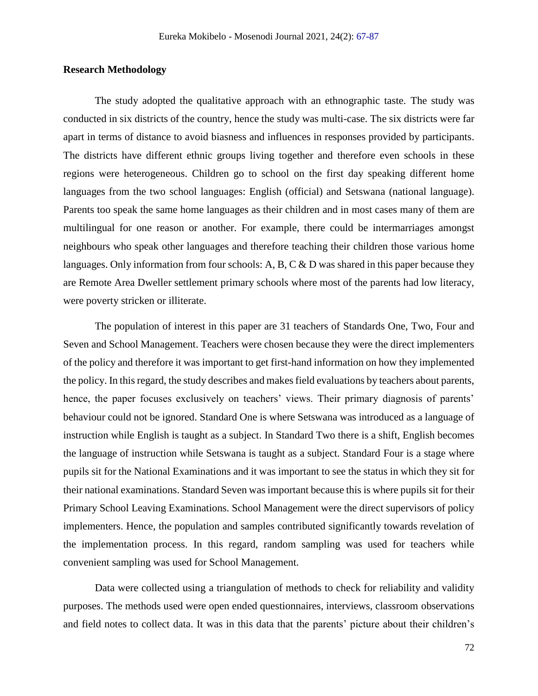## **Research Methodology**

The study adopted the qualitative approach with an ethnographic taste. The study was conducted in six districts of the country, hence the study was multi-case. The six districts were far apart in terms of distance to avoid biasness and influences in responses provided by participants. The districts have different ethnic groups living together and therefore even schools in these regions were heterogeneous. Children go to school on the first day speaking different home languages from the two school languages: English (official) and Setswana (national language). Parents too speak the same home languages as their children and in most cases many of them are multilingual for one reason or another. For example, there could be intermarriages amongst neighbours who speak other languages and therefore teaching their children those various home languages. Only information from four schools: A, B, C  $\&$  D was shared in this paper because they are Remote Area Dweller settlement primary schools where most of the parents had low literacy, were poverty stricken or illiterate.

The population of interest in this paper are 31 teachers of Standards One, Two, Four and Seven and School Management. Teachers were chosen because they were the direct implementers of the policy and therefore it was important to get first-hand information on how they implemented the policy. In this regard, the study describes and makes field evaluations by teachers about parents, hence, the paper focuses exclusively on teachers' views. Their primary diagnosis of parents' behaviour could not be ignored. Standard One is where Setswana was introduced as a language of instruction while English is taught as a subject. In Standard Two there is a shift, English becomes the language of instruction while Setswana is taught as a subject. Standard Four is a stage where pupils sit for the National Examinations and it was important to see the status in which they sit for their national examinations. Standard Seven was important because this is where pupils sit for their Primary School Leaving Examinations. School Management were the direct supervisors of policy implementers. Hence, the population and samples contributed significantly towards revelation of the implementation process. In this regard, random sampling was used for teachers while convenient sampling was used for School Management.

Data were collected using a triangulation of methods to check for reliability and validity purposes. The methods used were open ended questionnaires, interviews, classroom observations and field notes to collect data. It was in this data that the parents' picture about their children's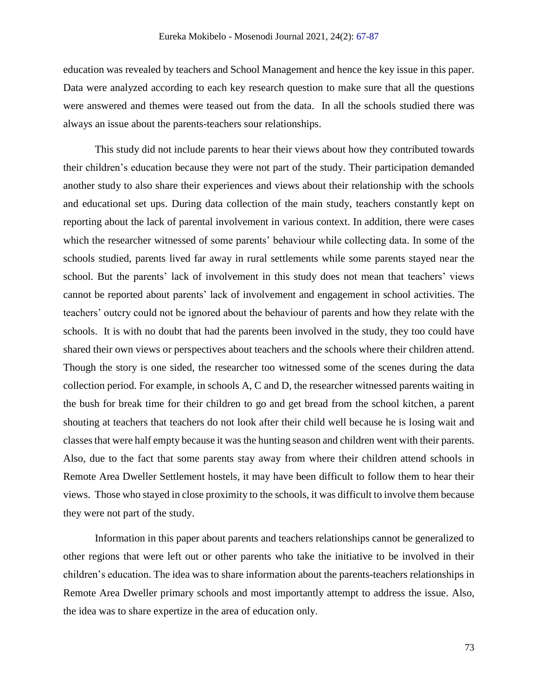education was revealed by teachers and School Management and hence the key issue in this paper. Data were analyzed according to each key research question to make sure that all the questions were answered and themes were teased out from the data. In all the schools studied there was always an issue about the parents-teachers sour relationships.

This study did not include parents to hear their views about how they contributed towards their children's education because they were not part of the study. Their participation demanded another study to also share their experiences and views about their relationship with the schools and educational set ups. During data collection of the main study, teachers constantly kept on reporting about the lack of parental involvement in various context. In addition, there were cases which the researcher witnessed of some parents' behaviour while collecting data. In some of the schools studied, parents lived far away in rural settlements while some parents stayed near the school. But the parents' lack of involvement in this study does not mean that teachers' views cannot be reported about parents' lack of involvement and engagement in school activities. The teachers' outcry could not be ignored about the behaviour of parents and how they relate with the schools. It is with no doubt that had the parents been involved in the study, they too could have shared their own views or perspectives about teachers and the schools where their children attend. Though the story is one sided, the researcher too witnessed some of the scenes during the data collection period. For example, in schools A, C and D, the researcher witnessed parents waiting in the bush for break time for their children to go and get bread from the school kitchen, a parent shouting at teachers that teachers do not look after their child well because he is losing wait and classes that were half empty because it was the hunting season and children went with their parents. Also, due to the fact that some parents stay away from where their children attend schools in Remote Area Dweller Settlement hostels, it may have been difficult to follow them to hear their views. Those who stayed in close proximity to the schools, it was difficult to involve them because they were not part of the study.

Information in this paper about parents and teachers relationships cannot be generalized to other regions that were left out or other parents who take the initiative to be involved in their children's education. The idea was to share information about the parents-teachers relationships in Remote Area Dweller primary schools and most importantly attempt to address the issue. Also, the idea was to share expertize in the area of education only.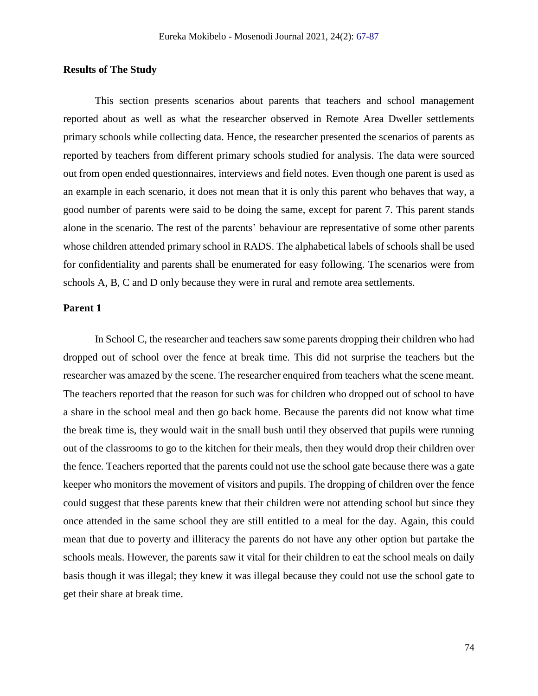#### **Results of The Study**

This section presents scenarios about parents that teachers and school management reported about as well as what the researcher observed in Remote Area Dweller settlements primary schools while collecting data. Hence, the researcher presented the scenarios of parents as reported by teachers from different primary schools studied for analysis. The data were sourced out from open ended questionnaires, interviews and field notes. Even though one parent is used as an example in each scenario, it does not mean that it is only this parent who behaves that way, a good number of parents were said to be doing the same, except for parent 7. This parent stands alone in the scenario. The rest of the parents' behaviour are representative of some other parents whose children attended primary school in RADS. The alphabetical labels of schools shall be used for confidentiality and parents shall be enumerated for easy following. The scenarios were from schools A, B, C and D only because they were in rural and remote area settlements.

## **Parent 1**

In School C, the researcher and teachers saw some parents dropping their children who had dropped out of school over the fence at break time. This did not surprise the teachers but the researcher was amazed by the scene. The researcher enquired from teachers what the scene meant. The teachers reported that the reason for such was for children who dropped out of school to have a share in the school meal and then go back home. Because the parents did not know what time the break time is, they would wait in the small bush until they observed that pupils were running out of the classrooms to go to the kitchen for their meals, then they would drop their children over the fence. Teachers reported that the parents could not use the school gate because there was a gate keeper who monitors the movement of visitors and pupils. The dropping of children over the fence could suggest that these parents knew that their children were not attending school but since they once attended in the same school they are still entitled to a meal for the day. Again, this could mean that due to poverty and illiteracy the parents do not have any other option but partake the schools meals. However, the parents saw it vital for their children to eat the school meals on daily basis though it was illegal; they knew it was illegal because they could not use the school gate to get their share at break time.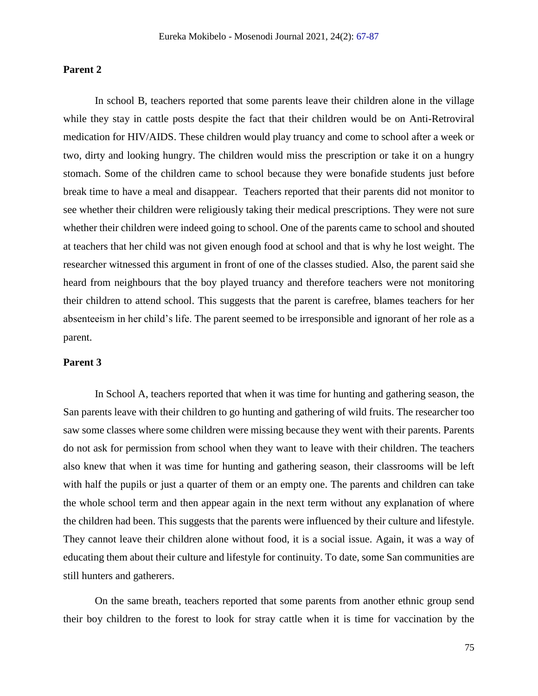## **Parent 2**

In school B, teachers reported that some parents leave their children alone in the village while they stay in cattle posts despite the fact that their children would be on Anti-Retroviral medication for HIV/AIDS. These children would play truancy and come to school after a week or two, dirty and looking hungry. The children would miss the prescription or take it on a hungry stomach. Some of the children came to school because they were bonafide students just before break time to have a meal and disappear. Teachers reported that their parents did not monitor to see whether their children were religiously taking their medical prescriptions. They were not sure whether their children were indeed going to school. One of the parents came to school and shouted at teachers that her child was not given enough food at school and that is why he lost weight. The researcher witnessed this argument in front of one of the classes studied. Also, the parent said she heard from neighbours that the boy played truancy and therefore teachers were not monitoring their children to attend school. This suggests that the parent is carefree, blames teachers for her absenteeism in her child's life. The parent seemed to be irresponsible and ignorant of her role as a parent.

## **Parent 3**

In School A, teachers reported that when it was time for hunting and gathering season, the San parents leave with their children to go hunting and gathering of wild fruits. The researcher too saw some classes where some children were missing because they went with their parents. Parents do not ask for permission from school when they want to leave with their children. The teachers also knew that when it was time for hunting and gathering season, their classrooms will be left with half the pupils or just a quarter of them or an empty one. The parents and children can take the whole school term and then appear again in the next term without any explanation of where the children had been. This suggests that the parents were influenced by their culture and lifestyle. They cannot leave their children alone without food, it is a social issue. Again, it was a way of educating them about their culture and lifestyle for continuity. To date, some San communities are still hunters and gatherers.

On the same breath, teachers reported that some parents from another ethnic group send their boy children to the forest to look for stray cattle when it is time for vaccination by the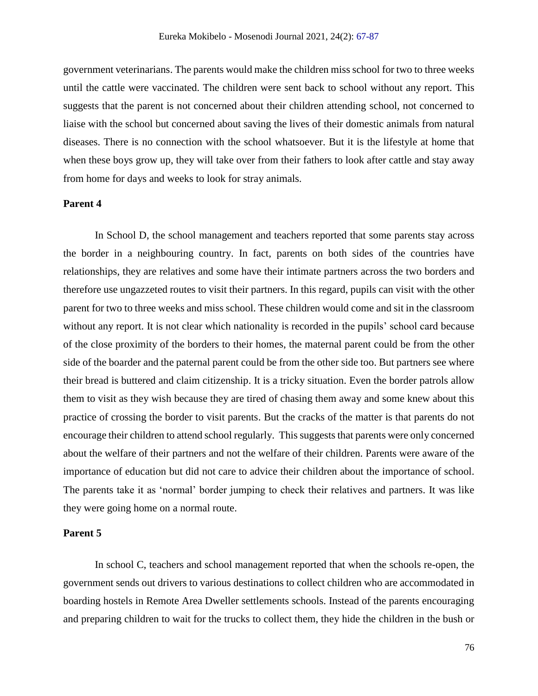government veterinarians. The parents would make the children miss school for two to three weeks until the cattle were vaccinated. The children were sent back to school without any report. This suggests that the parent is not concerned about their children attending school, not concerned to liaise with the school but concerned about saving the lives of their domestic animals from natural diseases. There is no connection with the school whatsoever. But it is the lifestyle at home that when these boys grow up, they will take over from their fathers to look after cattle and stay away from home for days and weeks to look for stray animals.

## **Parent 4**

In School D, the school management and teachers reported that some parents stay across the border in a neighbouring country. In fact, parents on both sides of the countries have relationships, they are relatives and some have their intimate partners across the two borders and therefore use ungazzeted routes to visit their partners. In this regard, pupils can visit with the other parent for two to three weeks and miss school. These children would come and sit in the classroom without any report. It is not clear which nationality is recorded in the pupils' school card because of the close proximity of the borders to their homes, the maternal parent could be from the other side of the boarder and the paternal parent could be from the other side too. But partners see where their bread is buttered and claim citizenship. It is a tricky situation. Even the border patrols allow them to visit as they wish because they are tired of chasing them away and some knew about this practice of crossing the border to visit parents. But the cracks of the matter is that parents do not encourage their children to attend school regularly. This suggests that parents were only concerned about the welfare of their partners and not the welfare of their children. Parents were aware of the importance of education but did not care to advice their children about the importance of school. The parents take it as 'normal' border jumping to check their relatives and partners. It was like they were going home on a normal route.

## **Parent 5**

In school C, teachers and school management reported that when the schools re-open, the government sends out drivers to various destinations to collect children who are accommodated in boarding hostels in Remote Area Dweller settlements schools. Instead of the parents encouraging and preparing children to wait for the trucks to collect them, they hide the children in the bush or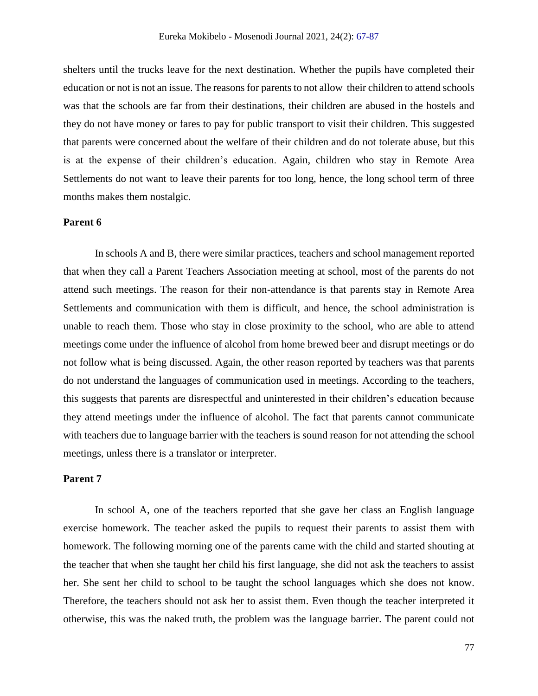shelters until the trucks leave for the next destination. Whether the pupils have completed their education or not is not an issue. The reasons for parents to not allow their children to attend schools was that the schools are far from their destinations, their children are abused in the hostels and they do not have money or fares to pay for public transport to visit their children. This suggested that parents were concerned about the welfare of their children and do not tolerate abuse, but this is at the expense of their children's education. Again, children who stay in Remote Area Settlements do not want to leave their parents for too long, hence, the long school term of three months makes them nostalgic.

#### **Parent 6**

In schools A and B, there were similar practices, teachers and school management reported that when they call a Parent Teachers Association meeting at school, most of the parents do not attend such meetings. The reason for their non-attendance is that parents stay in Remote Area Settlements and communication with them is difficult, and hence, the school administration is unable to reach them. Those who stay in close proximity to the school, who are able to attend meetings come under the influence of alcohol from home brewed beer and disrupt meetings or do not follow what is being discussed. Again, the other reason reported by teachers was that parents do not understand the languages of communication used in meetings. According to the teachers, this suggests that parents are disrespectful and uninterested in their children's education because they attend meetings under the influence of alcohol. The fact that parents cannot communicate with teachers due to language barrier with the teachers is sound reason for not attending the school meetings, unless there is a translator or interpreter.

## **Parent 7**

In school A, one of the teachers reported that she gave her class an English language exercise homework. The teacher asked the pupils to request their parents to assist them with homework. The following morning one of the parents came with the child and started shouting at the teacher that when she taught her child his first language, she did not ask the teachers to assist her. She sent her child to school to be taught the school languages which she does not know. Therefore, the teachers should not ask her to assist them. Even though the teacher interpreted it otherwise, this was the naked truth, the problem was the language barrier. The parent could not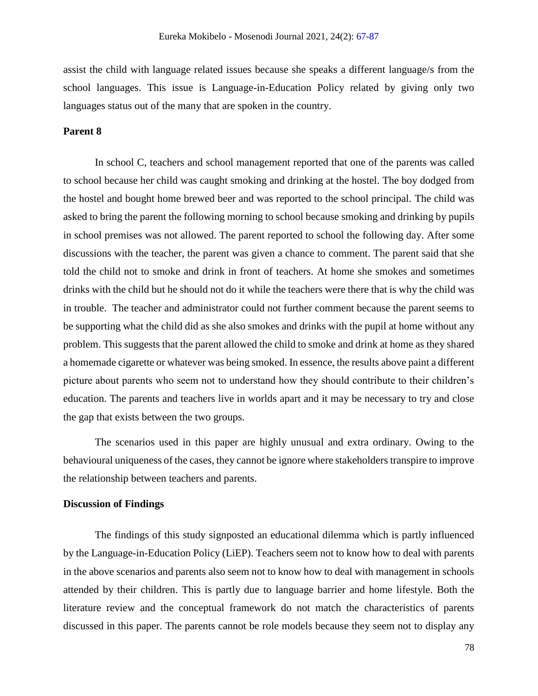assist the child with language related issues because she speaks a different language/s from the school languages. This issue is Language-in-Education Policy related by giving only two languages status out of the many that are spoken in the country.

## **Parent 8**

In school C, teachers and school management reported that one of the parents was called to school because her child was caught smoking and drinking at the hostel. The boy dodged from the hostel and bought home brewed beer and was reported to the school principal. The child was asked to bring the parent the following morning to school because smoking and drinking by pupils in school premises was not allowed. The parent reported to school the following day. After some discussions with the teacher, the parent was given a chance to comment. The parent said that she told the child not to smoke and drink in front of teachers. At home she smokes and sometimes drinks with the child but he should not do it while the teachers were there that is why the child was in trouble. The teacher and administrator could not further comment because the parent seems to be supporting what the child did as she also smokes and drinks with the pupil at home without any problem. This suggests that the parent allowed the child to smoke and drink at home as they shared a homemade cigarette or whatever was being smoked. In essence, the results above paint a different picture about parents who seem not to understand how they should contribute to their children's education. The parents and teachers live in worlds apart and it may be necessary to try and close the gap that exists between the two groups.

The scenarios used in this paper are highly unusual and extra ordinary. Owing to the behavioural uniqueness of the cases, they cannot be ignore where stakeholders transpire to improve the relationship between teachers and parents.

## **Discussion of Findings**

The findings of this study signposted an educational dilemma which is partly influenced by the Language-in-Education Policy (LiEP). Teachers seem not to know how to deal with parents in the above scenarios and parents also seem not to know how to deal with management in schools attended by their children. This is partly due to language barrier and home lifestyle. Both the literature review and the conceptual framework do not match the characteristics of parents discussed in this paper. The parents cannot be role models because they seem not to display any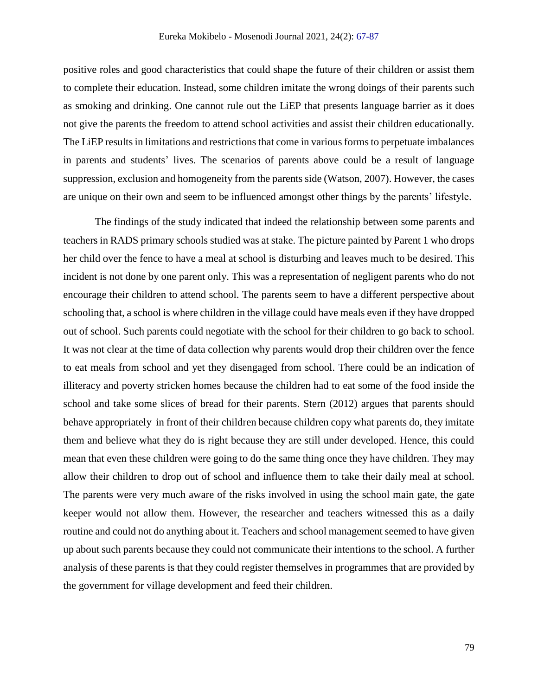positive roles and good characteristics that could shape the future of their children or assist them to complete their education. Instead, some children imitate the wrong doings of their parents such as smoking and drinking. One cannot rule out the LiEP that presents language barrier as it does not give the parents the freedom to attend school activities and assist their children educationally. The LiEP results in limitations and restrictions that come in various forms to perpetuate imbalances in parents and students' lives. The scenarios of parents above could be a result of language suppression, exclusion and homogeneity from the parents side (Watson, 2007). However, the cases are unique on their own and seem to be influenced amongst other things by the parents' lifestyle.

The findings of the study indicated that indeed the relationship between some parents and teachers in RADS primary schools studied was at stake. The picture painted by Parent 1 who drops her child over the fence to have a meal at school is disturbing and leaves much to be desired. This incident is not done by one parent only. This was a representation of negligent parents who do not encourage their children to attend school. The parents seem to have a different perspective about schooling that, a school is where children in the village could have meals even if they have dropped out of school. Such parents could negotiate with the school for their children to go back to school. It was not clear at the time of data collection why parents would drop their children over the fence to eat meals from school and yet they disengaged from school. There could be an indication of illiteracy and poverty stricken homes because the children had to eat some of the food inside the school and take some slices of bread for their parents. Stern (2012) argues that parents should behave appropriately in front of their children because children copy what parents do, they imitate them and believe what they do is right because they are still under developed. Hence, this could mean that even these children were going to do the same thing once they have children. They may allow their children to drop out of school and influence them to take their daily meal at school. The parents were very much aware of the risks involved in using the school main gate, the gate keeper would not allow them. However, the researcher and teachers witnessed this as a daily routine and could not do anything about it. Teachers and school management seemed to have given up about such parents because they could not communicate their intentions to the school. A further analysis of these parents is that they could register themselves in programmes that are provided by the government for village development and feed their children.

79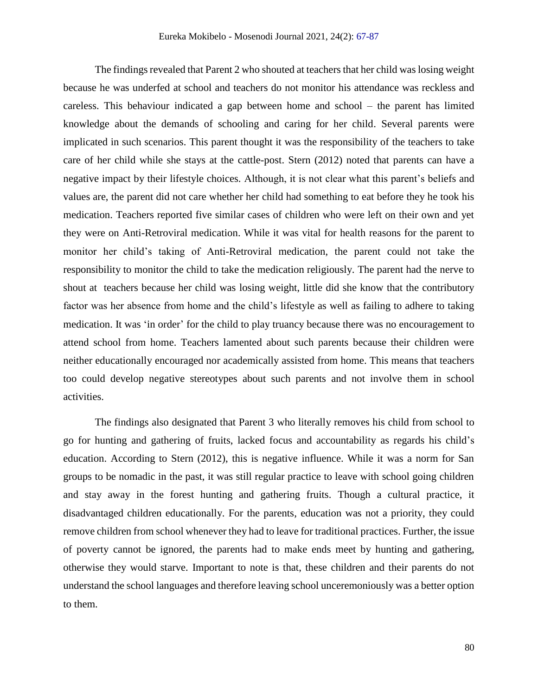The findings revealed that Parent 2 who shouted at teachers that her child was losing weight because he was underfed at school and teachers do not monitor his attendance was reckless and careless. This behaviour indicated a gap between home and school – the parent has limited knowledge about the demands of schooling and caring for her child. Several parents were implicated in such scenarios. This parent thought it was the responsibility of the teachers to take care of her child while she stays at the cattle-post. Stern (2012) noted that parents can have a negative impact by their lifestyle choices. Although, it is not clear what this parent's beliefs and values are, the parent did not care whether her child had something to eat before they he took his medication. Teachers reported five similar cases of children who were left on their own and yet they were on Anti-Retroviral medication. While it was vital for health reasons for the parent to monitor her child's taking of Anti-Retroviral medication, the parent could not take the responsibility to monitor the child to take the medication religiously. The parent had the nerve to shout at teachers because her child was losing weight, little did she know that the contributory factor was her absence from home and the child's lifestyle as well as failing to adhere to taking medication. It was 'in order' for the child to play truancy because there was no encouragement to attend school from home. Teachers lamented about such parents because their children were neither educationally encouraged nor academically assisted from home. This means that teachers too could develop negative stereotypes about such parents and not involve them in school activities.

The findings also designated that Parent 3 who literally removes his child from school to go for hunting and gathering of fruits, lacked focus and accountability as regards his child's education. According to Stern (2012), this is negative influence. While it was a norm for San groups to be nomadic in the past, it was still regular practice to leave with school going children and stay away in the forest hunting and gathering fruits. Though a cultural practice, it disadvantaged children educationally. For the parents, education was not a priority, they could remove children from school whenever they had to leave for traditional practices. Further, the issue of poverty cannot be ignored, the parents had to make ends meet by hunting and gathering, otherwise they would starve. Important to note is that, these children and their parents do not understand the school languages and therefore leaving school unceremoniously was a better option to them.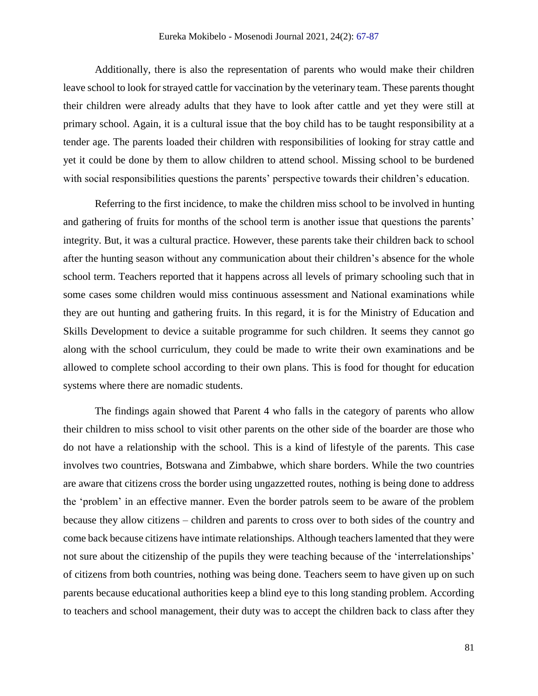Additionally, there is also the representation of parents who would make their children leave school to look for strayed cattle for vaccination by the veterinary team. These parents thought their children were already adults that they have to look after cattle and yet they were still at primary school. Again, it is a cultural issue that the boy child has to be taught responsibility at a tender age. The parents loaded their children with responsibilities of looking for stray cattle and yet it could be done by them to allow children to attend school. Missing school to be burdened with social responsibilities questions the parents' perspective towards their children's education.

Referring to the first incidence, to make the children miss school to be involved in hunting and gathering of fruits for months of the school term is another issue that questions the parents' integrity. But, it was a cultural practice. However, these parents take their children back to school after the hunting season without any communication about their children's absence for the whole school term. Teachers reported that it happens across all levels of primary schooling such that in some cases some children would miss continuous assessment and National examinations while they are out hunting and gathering fruits. In this regard, it is for the Ministry of Education and Skills Development to device a suitable programme for such children. It seems they cannot go along with the school curriculum, they could be made to write their own examinations and be allowed to complete school according to their own plans. This is food for thought for education systems where there are nomadic students.

The findings again showed that Parent 4 who falls in the category of parents who allow their children to miss school to visit other parents on the other side of the boarder are those who do not have a relationship with the school. This is a kind of lifestyle of the parents. This case involves two countries, Botswana and Zimbabwe, which share borders. While the two countries are aware that citizens cross the border using ungazzetted routes, nothing is being done to address the 'problem' in an effective manner. Even the border patrols seem to be aware of the problem because they allow citizens – children and parents to cross over to both sides of the country and come back because citizens have intimate relationships. Although teachers lamented that they were not sure about the citizenship of the pupils they were teaching because of the 'interrelationships' of citizens from both countries, nothing was being done. Teachers seem to have given up on such parents because educational authorities keep a blind eye to this long standing problem. According to teachers and school management, their duty was to accept the children back to class after they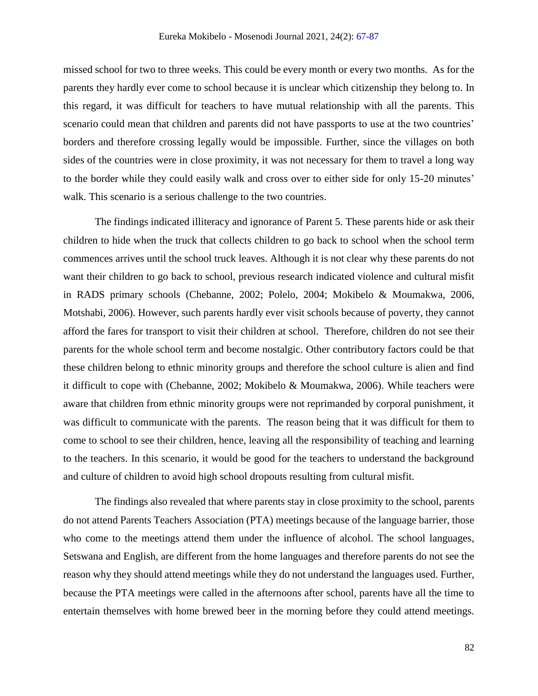missed school for two to three weeks. This could be every month or every two months. As for the parents they hardly ever come to school because it is unclear which citizenship they belong to. In this regard, it was difficult for teachers to have mutual relationship with all the parents. This scenario could mean that children and parents did not have passports to use at the two countries' borders and therefore crossing legally would be impossible. Further, since the villages on both sides of the countries were in close proximity, it was not necessary for them to travel a long way to the border while they could easily walk and cross over to either side for only 15-20 minutes' walk. This scenario is a serious challenge to the two countries.

The findings indicated illiteracy and ignorance of Parent 5. These parents hide or ask their children to hide when the truck that collects children to go back to school when the school term commences arrives until the school truck leaves. Although it is not clear why these parents do not want their children to go back to school, previous research indicated violence and cultural misfit in RADS primary schools (Chebanne, 2002; Polelo, 2004; Mokibelo & Moumakwa, 2006, Motshabi, 2006). However, such parents hardly ever visit schools because of poverty, they cannot afford the fares for transport to visit their children at school. Therefore, children do not see their parents for the whole school term and become nostalgic. Other contributory factors could be that these children belong to ethnic minority groups and therefore the school culture is alien and find it difficult to cope with (Chebanne, 2002; Mokibelo & Moumakwa, 2006). While teachers were aware that children from ethnic minority groups were not reprimanded by corporal punishment, it was difficult to communicate with the parents. The reason being that it was difficult for them to come to school to see their children, hence, leaving all the responsibility of teaching and learning to the teachers. In this scenario, it would be good for the teachers to understand the background and culture of children to avoid high school dropouts resulting from cultural misfit.

The findings also revealed that where parents stay in close proximity to the school, parents do not attend Parents Teachers Association (PTA) meetings because of the language barrier, those who come to the meetings attend them under the influence of alcohol. The school languages, Setswana and English, are different from the home languages and therefore parents do not see the reason why they should attend meetings while they do not understand the languages used. Further, because the PTA meetings were called in the afternoons after school, parents have all the time to entertain themselves with home brewed beer in the morning before they could attend meetings.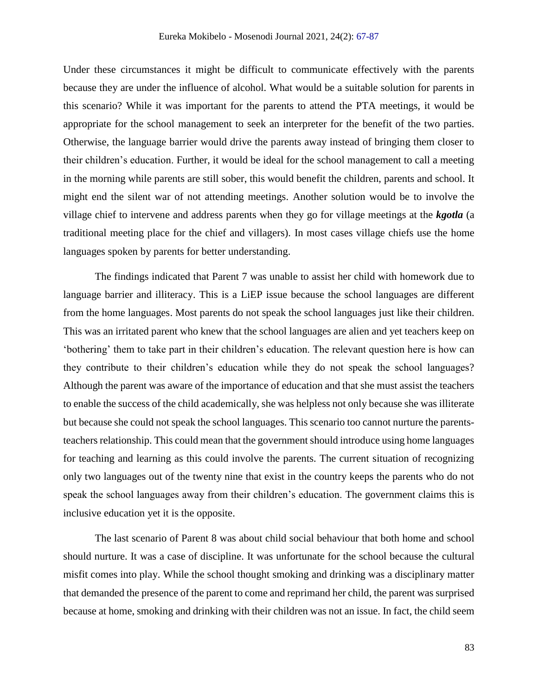Under these circumstances it might be difficult to communicate effectively with the parents because they are under the influence of alcohol. What would be a suitable solution for parents in this scenario? While it was important for the parents to attend the PTA meetings, it would be appropriate for the school management to seek an interpreter for the benefit of the two parties. Otherwise, the language barrier would drive the parents away instead of bringing them closer to their children's education. Further, it would be ideal for the school management to call a meeting in the morning while parents are still sober, this would benefit the children, parents and school. It might end the silent war of not attending meetings. Another solution would be to involve the village chief to intervene and address parents when they go for village meetings at the *kgotla* (a traditional meeting place for the chief and villagers). In most cases village chiefs use the home languages spoken by parents for better understanding.

The findings indicated that Parent 7 was unable to assist her child with homework due to language barrier and illiteracy. This is a LiEP issue because the school languages are different from the home languages. Most parents do not speak the school languages just like their children. This was an irritated parent who knew that the school languages are alien and yet teachers keep on 'bothering' them to take part in their children's education. The relevant question here is how can they contribute to their children's education while they do not speak the school languages? Although the parent was aware of the importance of education and that she must assist the teachers to enable the success of the child academically, she was helpless not only because she was illiterate but because she could not speak the school languages. This scenario too cannot nurture the parentsteachers relationship. This could mean that the government should introduce using home languages for teaching and learning as this could involve the parents. The current situation of recognizing only two languages out of the twenty nine that exist in the country keeps the parents who do not speak the school languages away from their children's education. The government claims this is inclusive education yet it is the opposite.

The last scenario of Parent 8 was about child social behaviour that both home and school should nurture. It was a case of discipline. It was unfortunate for the school because the cultural misfit comes into play. While the school thought smoking and drinking was a disciplinary matter that demanded the presence of the parent to come and reprimand her child, the parent was surprised because at home, smoking and drinking with their children was not an issue. In fact, the child seem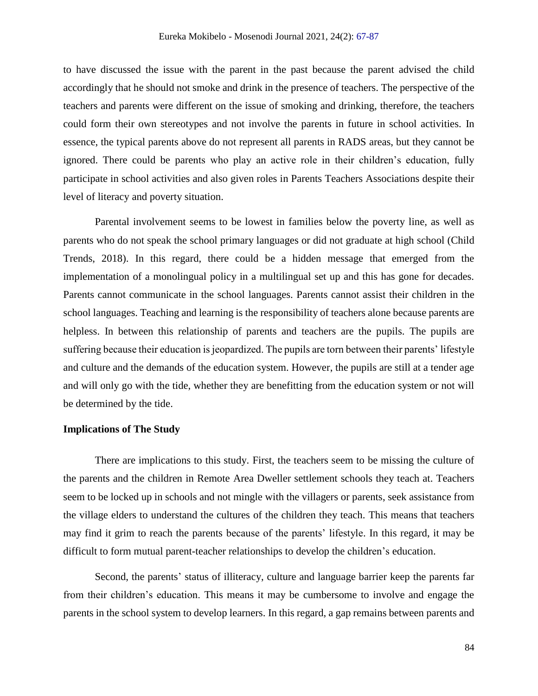to have discussed the issue with the parent in the past because the parent advised the child accordingly that he should not smoke and drink in the presence of teachers. The perspective of the teachers and parents were different on the issue of smoking and drinking, therefore, the teachers could form their own stereotypes and not involve the parents in future in school activities. In essence, the typical parents above do not represent all parents in RADS areas, but they cannot be ignored. There could be parents who play an active role in their children's education, fully participate in school activities and also given roles in Parents Teachers Associations despite their level of literacy and poverty situation.

Parental involvement seems to be lowest in families below the poverty line, as well as parents who do not speak the school primary languages or did not graduate at high school (Child Trends, 2018). In this regard, there could be a hidden message that emerged from the implementation of a monolingual policy in a multilingual set up and this has gone for decades. Parents cannot communicate in the school languages. Parents cannot assist their children in the school languages. Teaching and learning is the responsibility of teachers alone because parents are helpless. In between this relationship of parents and teachers are the pupils. The pupils are suffering because their education is jeopardized. The pupils are torn between their parents' lifestyle and culture and the demands of the education system. However, the pupils are still at a tender age and will only go with the tide, whether they are benefitting from the education system or not will be determined by the tide.

## **Implications of The Study**

There are implications to this study. First, the teachers seem to be missing the culture of the parents and the children in Remote Area Dweller settlement schools they teach at. Teachers seem to be locked up in schools and not mingle with the villagers or parents, seek assistance from the village elders to understand the cultures of the children they teach. This means that teachers may find it grim to reach the parents because of the parents' lifestyle. In this regard, it may be difficult to form mutual parent-teacher relationships to develop the children's education.

Second, the parents' status of illiteracy, culture and language barrier keep the parents far from their children's education. This means it may be cumbersome to involve and engage the parents in the school system to develop learners. In this regard, a gap remains between parents and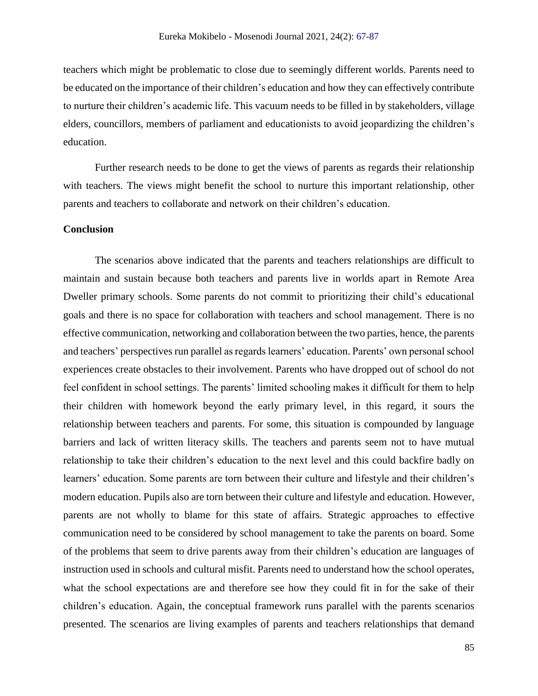teachers which might be problematic to close due to seemingly different worlds. Parents need to be educated on the importance of their children's education and how they can effectively contribute to nurture their children's academic life. This vacuum needs to be filled in by stakeholders, village elders, councillors, members of parliament and educationists to avoid jeopardizing the children's education.

Further research needs to be done to get the views of parents as regards their relationship with teachers. The views might benefit the school to nurture this important relationship, other parents and teachers to collaborate and network on their children's education.

## **Conclusion**

The scenarios above indicated that the parents and teachers relationships are difficult to maintain and sustain because both teachers and parents live in worlds apart in Remote Area Dweller primary schools. Some parents do not commit to prioritizing their child's educational goals and there is no space for collaboration with teachers and school management. There is no effective communication, networking and collaboration between the two parties, hence, the parents and teachers' perspectives run parallel as regards learners' education. Parents' own personal school experiences create obstacles to their involvement. Parents who have dropped out of school do not feel confident in school settings. The parents' limited schooling makes it difficult for them to help their children with homework beyond the early primary level, in this regard, it sours the relationship between teachers and parents. For some, this situation is compounded by language barriers and lack of written literacy skills. The teachers and parents seem not to have mutual relationship to take their children's education to the next level and this could backfire badly on learners' education. Some parents are torn between their culture and lifestyle and their children's modern education. Pupils also are torn between their culture and lifestyle and education. However, parents are not wholly to blame for this state of affairs. Strategic approaches to effective communication need to be considered by school management to take the parents on board. Some of the problems that seem to drive parents away from their children's education are languages of instruction used in schools and cultural misfit. Parents need to understand how the school operates, what the school expectations are and therefore see how they could fit in for the sake of their children's education. Again, the conceptual framework runs parallel with the parents scenarios presented. The scenarios are living examples of parents and teachers relationships that demand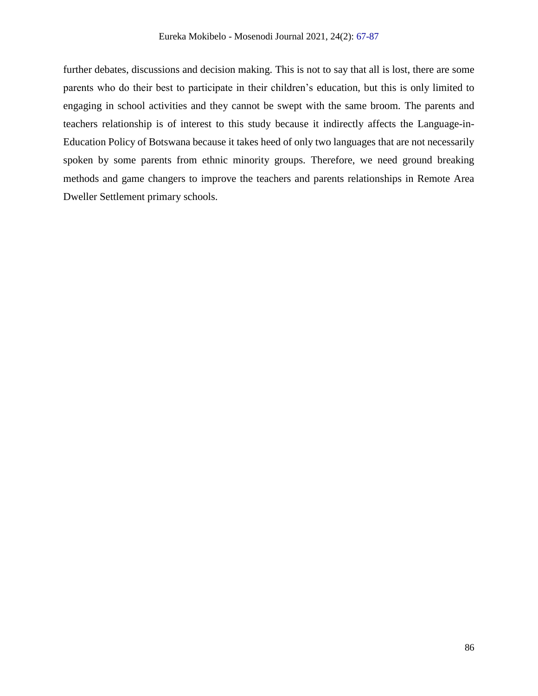further debates, discussions and decision making. This is not to say that all is lost, there are some parents who do their best to participate in their children's education, but this is only limited to engaging in school activities and they cannot be swept with the same broom. The parents and teachers relationship is of interest to this study because it indirectly affects the Language-in-Education Policy of Botswana because it takes heed of only two languages that are not necessarily spoken by some parents from ethnic minority groups. Therefore, we need ground breaking methods and game changers to improve the teachers and parents relationships in Remote Area Dweller Settlement primary schools.